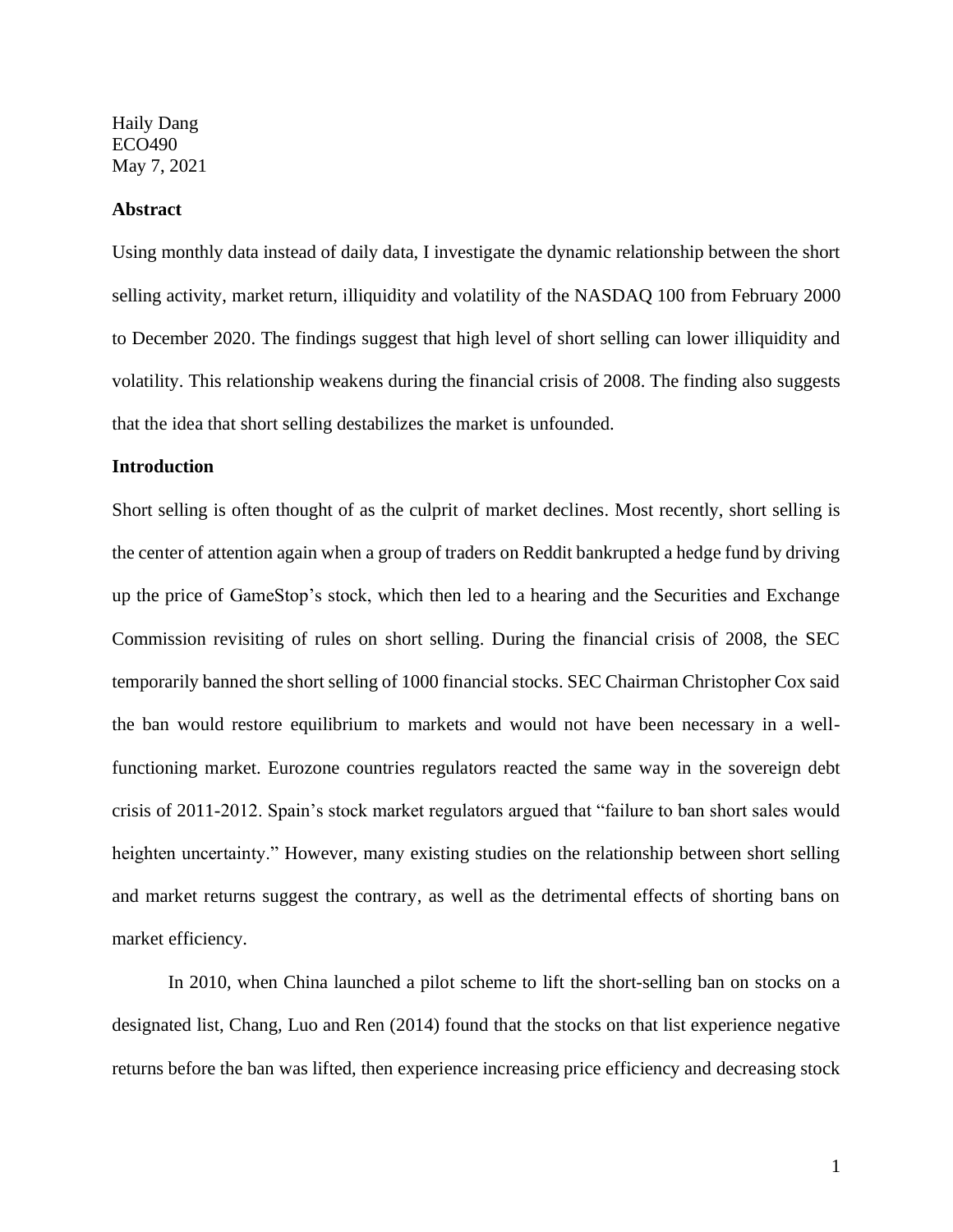Haily Dang ECO490 May 7, 2021

#### **Abstract**

Using monthly data instead of daily data, I investigate the dynamic relationship between the short selling activity, market return, illiquidity and volatility of the NASDAQ 100 from February 2000 to December 2020. The findings suggest that high level of short selling can lower illiquidity and volatility. This relationship weakens during the financial crisis of 2008. The finding also suggests that the idea that short selling destabilizes the market is unfounded.

### **Introduction**

Short selling is often thought of as the culprit of market declines. Most recently, short selling is the center of attention again when a group of traders on Reddit bankrupted a hedge fund by driving up the price of GameStop's stock, which then led to a hearing and the Securities and Exchange Commission revisiting of rules on short selling. During the financial crisis of 2008, the SEC temporarily banned the short selling of 1000 financial stocks. SEC Chairman Christopher Cox said the ban would restore equilibrium to markets and would not have been necessary in a wellfunctioning market. Eurozone countries regulators reacted the same way in the sovereign debt crisis of 2011-2012. Spain's stock market regulators argued that "failure to ban short sales would heighten uncertainty." However, many existing studies on the relationship between short selling and market returns suggest the contrary, as well as the detrimental effects of shorting bans on market efficiency.

In 2010, when China launched a pilot scheme to lift the short-selling ban on stocks on a designated list, Chang, Luo and Ren (2014) found that the stocks on that list experience negative returns before the ban was lifted, then experience increasing price efficiency and decreasing stock

1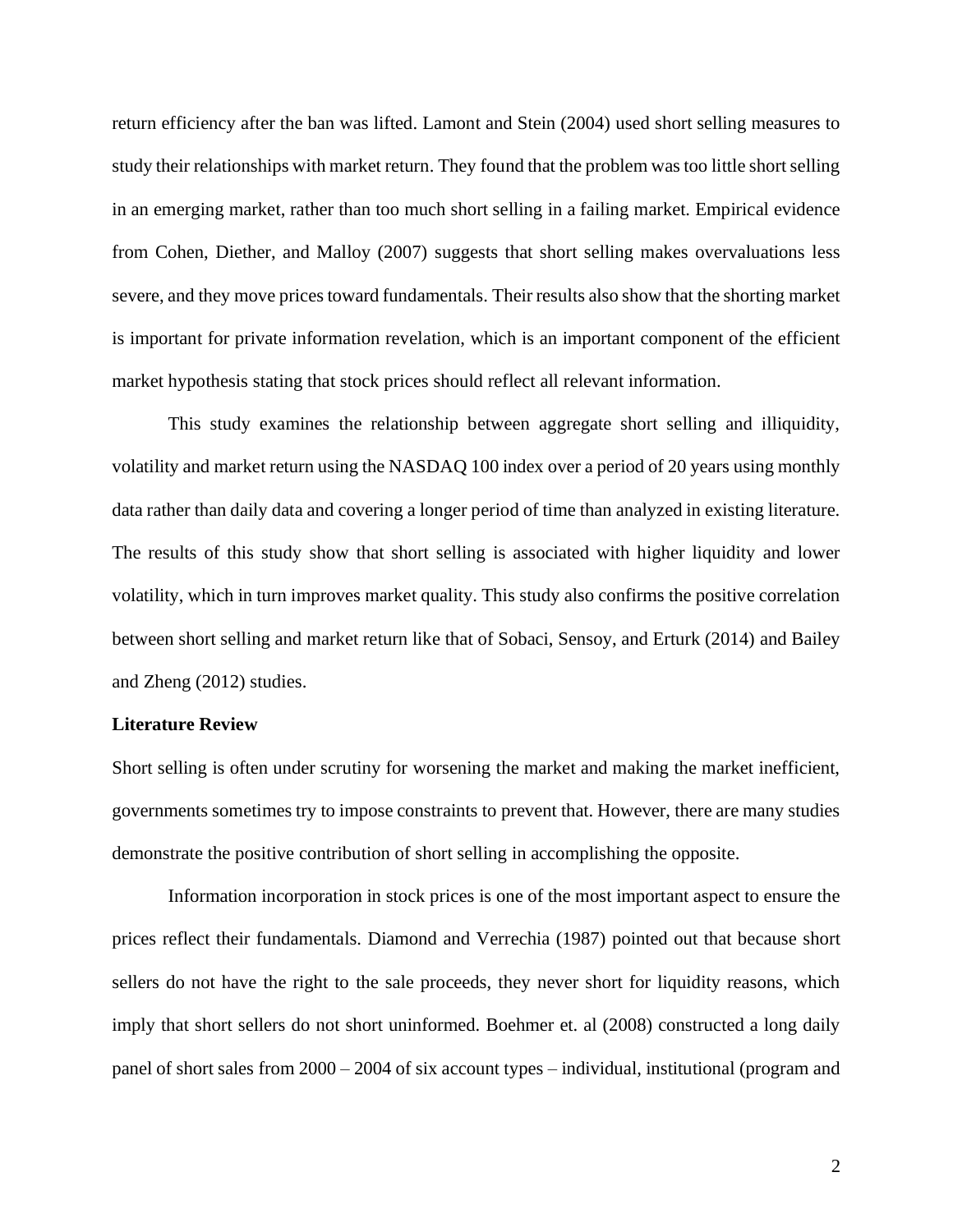return efficiency after the ban was lifted. Lamont and Stein (2004) used short selling measures to study their relationships with market return. They found that the problem was too little short selling in an emerging market, rather than too much short selling in a failing market. Empirical evidence from Cohen, Diether, and Malloy (2007) suggests that short selling makes overvaluations less severe, and they move prices toward fundamentals. Their results also show that the shorting market is important for private information revelation, which is an important component of the efficient market hypothesis stating that stock prices should reflect all relevant information.

This study examines the relationship between aggregate short selling and illiquidity, volatility and market return using the NASDAQ 100 index over a period of 20 years using monthly data rather than daily data and covering a longer period of time than analyzed in existing literature. The results of this study show that short selling is associated with higher liquidity and lower volatility, which in turn improves market quality. This study also confirms the positive correlation between short selling and market return like that of Sobaci, Sensoy, and Erturk (2014) and Bailey and Zheng (2012) studies.

## **Literature Review**

Short selling is often under scrutiny for worsening the market and making the market inefficient, governments sometimes try to impose constraints to prevent that. However, there are many studies demonstrate the positive contribution of short selling in accomplishing the opposite.

Information incorporation in stock prices is one of the most important aspect to ensure the prices reflect their fundamentals. Diamond and Verrechia (1987) pointed out that because short sellers do not have the right to the sale proceeds, they never short for liquidity reasons, which imply that short sellers do not short uninformed. Boehmer et. al (2008) constructed a long daily panel of short sales from 2000 – 2004 of six account types – individual, institutional (program and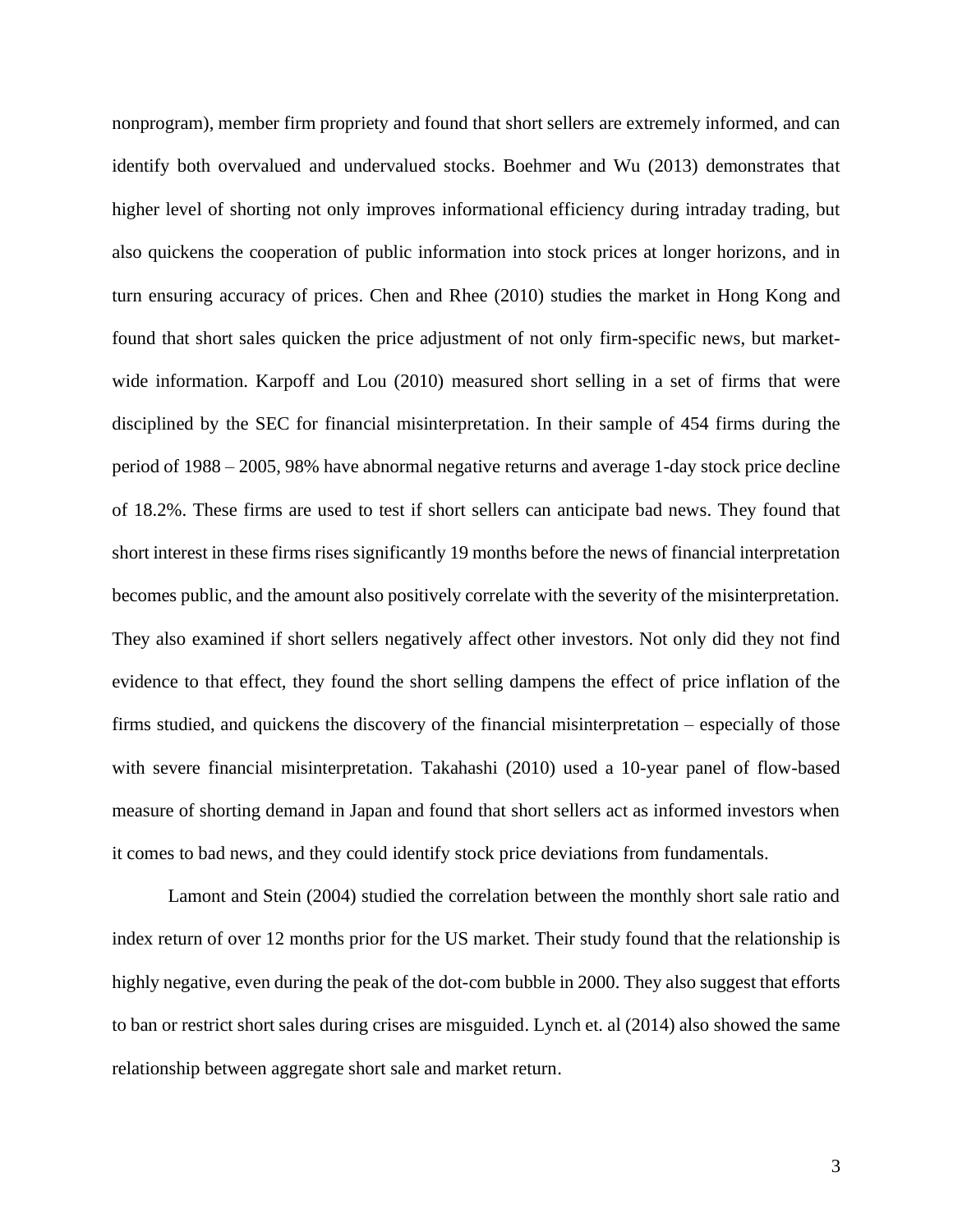nonprogram), member firm propriety and found that short sellers are extremely informed, and can identify both overvalued and undervalued stocks. Boehmer and Wu (2013) demonstrates that higher level of shorting not only improves informational efficiency during intraday trading, but also quickens the cooperation of public information into stock prices at longer horizons, and in turn ensuring accuracy of prices. Chen and Rhee (2010) studies the market in Hong Kong and found that short sales quicken the price adjustment of not only firm-specific news, but marketwide information. Karpoff and Lou (2010) measured short selling in a set of firms that were disciplined by the SEC for financial misinterpretation. In their sample of 454 firms during the period of 1988 – 2005, 98% have abnormal negative returns and average 1-day stock price decline of 18.2%. These firms are used to test if short sellers can anticipate bad news. They found that short interest in these firms rises significantly 19 months before the news of financial interpretation becomes public, and the amount also positively correlate with the severity of the misinterpretation. They also examined if short sellers negatively affect other investors. Not only did they not find evidence to that effect, they found the short selling dampens the effect of price inflation of the firms studied, and quickens the discovery of the financial misinterpretation – especially of those with severe financial misinterpretation. Takahashi (2010) used a 10-year panel of flow-based measure of shorting demand in Japan and found that short sellers act as informed investors when it comes to bad news, and they could identify stock price deviations from fundamentals.

Lamont and Stein (2004) studied the correlation between the monthly short sale ratio and index return of over 12 months prior for the US market. Their study found that the relationship is highly negative, even during the peak of the dot-com bubble in 2000. They also suggest that efforts to ban or restrict short sales during crises are misguided. Lynch et. al (2014) also showed the same relationship between aggregate short sale and market return.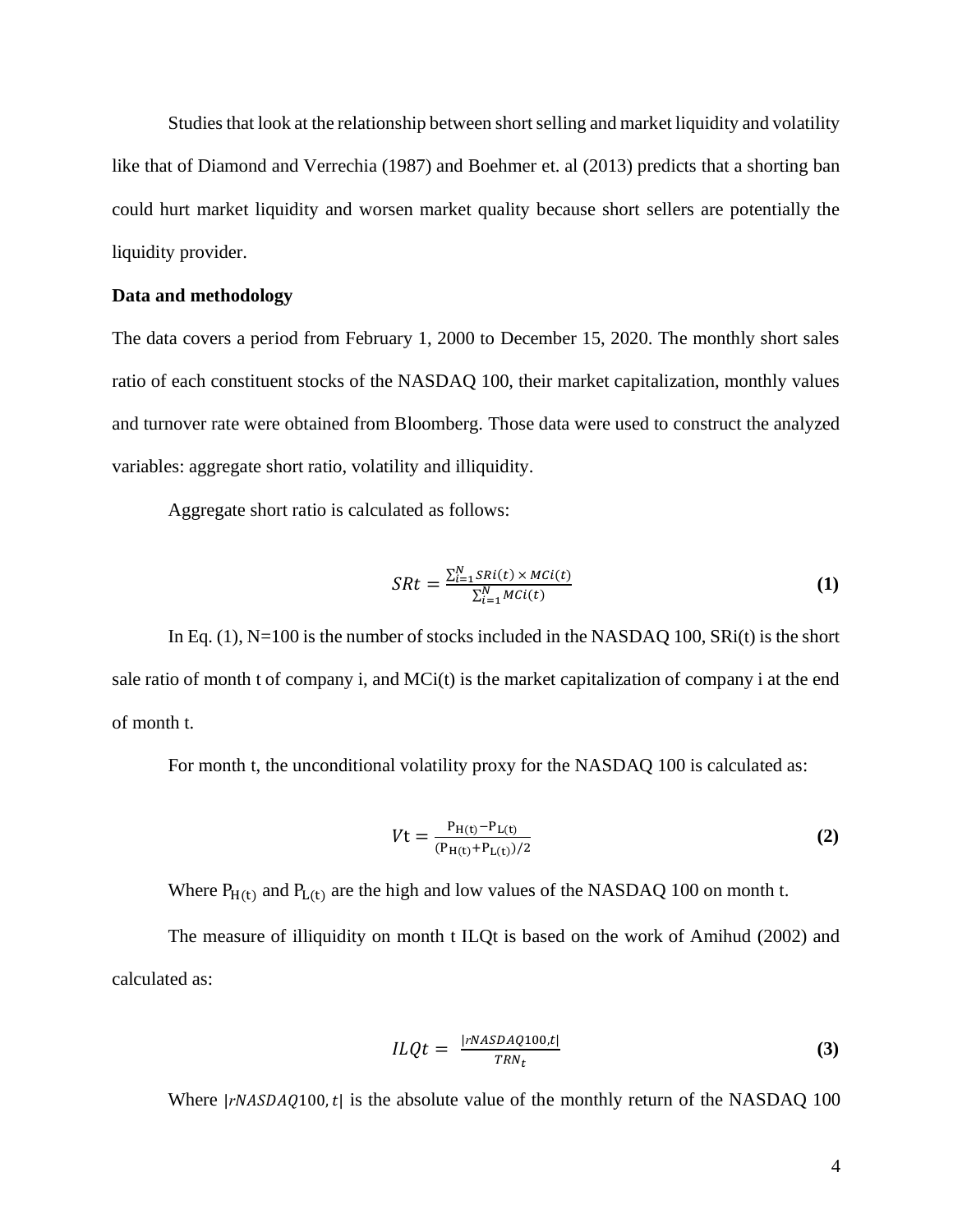Studies that look at the relationship between short selling and market liquidity and volatility like that of Diamond and Verrechia (1987) and Boehmer et. al (2013) predicts that a shorting ban could hurt market liquidity and worsen market quality because short sellers are potentially the liquidity provider.

# **Data and methodology**

The data covers a period from February 1, 2000 to December 15, 2020. The monthly short sales ratio of each constituent stocks of the NASDAQ 100, their market capitalization, monthly values and turnover rate were obtained from Bloomberg. Those data were used to construct the analyzed variables: aggregate short ratio, volatility and illiquidity.

Aggregate short ratio is calculated as follows:

$$
SRt = \frac{\sum_{i=1}^{N} SRI(t) \times \text{MCi}(t)}{\sum_{i=1}^{N} \text{MCi}(t)}
$$
\n
$$
\tag{1}
$$

In Eq.  $(1)$ , N=100 is the number of stocks included in the NASDAQ 100, SRi(t) is the short sale ratio of month t of company i, and MCi(t) is the market capitalization of company i at the end of month t.

For month t, the unconditional volatility proxy for the NASDAQ 100 is calculated as:

$$
Vt = \frac{P_{H(t)} - P_{L(t)}}{(P_{H(t)} + P_{L(t)})/2}
$$
 (2)

Where  $P_{H(t)}$  and  $P_{L(t)}$  are the high and low values of the NASDAQ 100 on month t.

The measure of illiquidity on month t ILQt is based on the work of Amihud (2002) and calculated as:

$$
ILQt = \frac{|rNASDAQ100,t|}{TRN_t}
$$
\n(3)

Where  $|rNASDAQ100,t|$  is the absolute value of the monthly return of the NASDAQ 100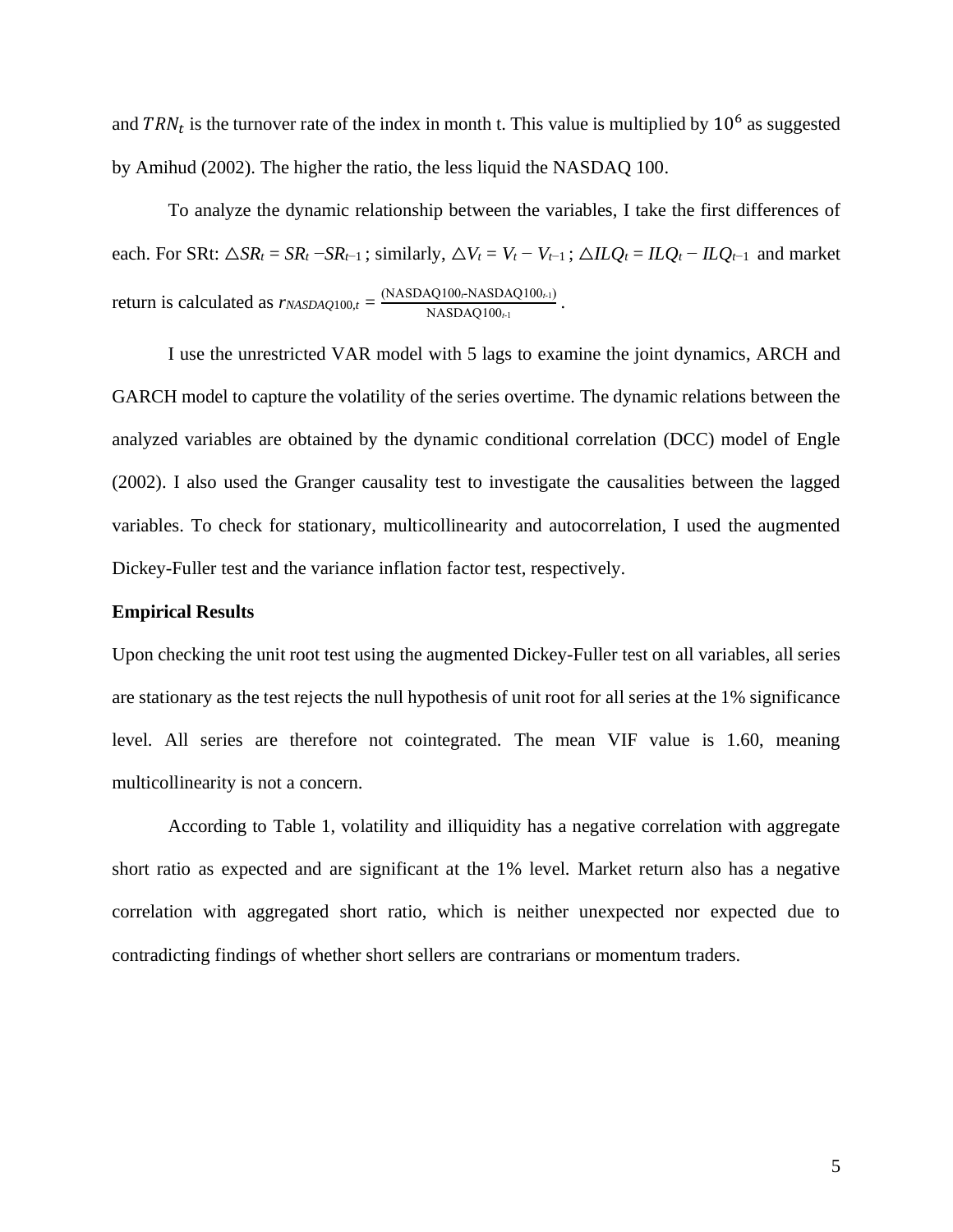and  $TRN_t$  is the turnover rate of the index in month t. This value is multiplied by  $10^6$  as suggested by Amihud (2002). The higher the ratio, the less liquid the NASDAQ 100.

To analyze the dynamic relationship between the variables, I take the first differences of each. For SRt:  $\triangle SR_t = SR_t - SR_{t-1}$ ; similarly,  $\triangle V_t = V_t - V_{t-1}$ ;  $\triangle ILQ_t = ILQ_t - ILQ_{t-1}$  and market return is calculated as  $r_{NASDAQ100,t} = \frac{(NASDAQ100_rNASDAQ100_{t-1})}{NMSDAQ100}$  $\frac{N}{NASDAQ100_{t-1}}$ .

I use the unrestricted VAR model with 5 lags to examine the joint dynamics, ARCH and GARCH model to capture the volatility of the series overtime. The dynamic relations between the analyzed variables are obtained by the dynamic conditional correlation (DCC) model of Engle (2002). I also used the Granger causality test to investigate the causalities between the lagged variables. To check for stationary, multicollinearity and autocorrelation, I used the augmented Dickey-Fuller test and the variance inflation factor test, respectively.

### **Empirical Results**

Upon checking the unit root test using the augmented Dickey-Fuller test on all variables, all series are stationary as the test rejects the null hypothesis of unit root for all series at the 1% significance level. All series are therefore not cointegrated. The mean VIF value is 1.60, meaning multicollinearity is not a concern.

According to Table 1, volatility and illiquidity has a negative correlation with aggregate short ratio as expected and are significant at the 1% level. Market return also has a negative correlation with aggregated short ratio, which is neither unexpected nor expected due to contradicting findings of whether short sellers are contrarians or momentum traders.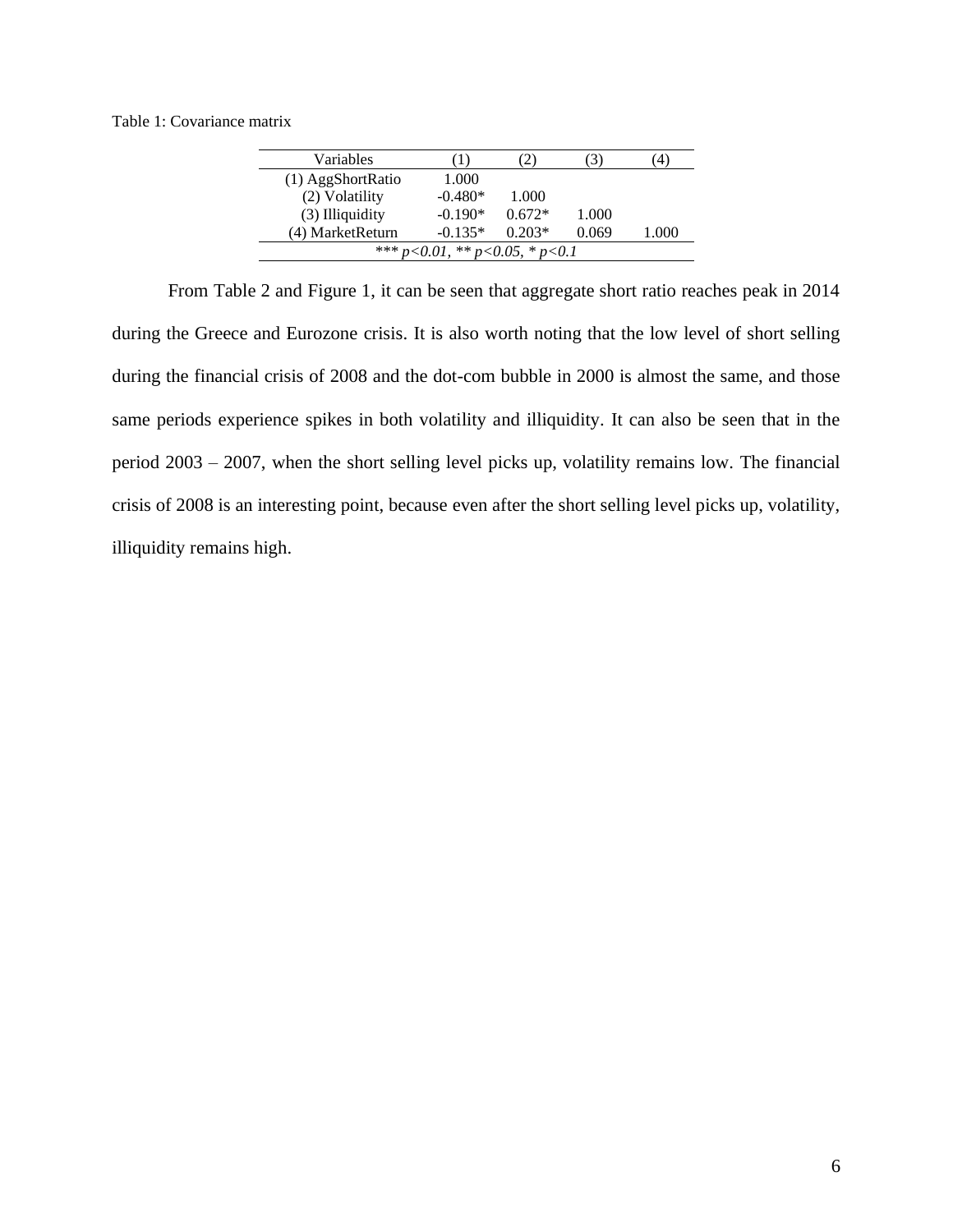Table 1: Covariance matrix

| Variables           |                                         | 2)       | J)    | $^{(4)}$ |  |  |  |  |  |
|---------------------|-----------------------------------------|----------|-------|----------|--|--|--|--|--|
| $(1)$ AggShortRatio | 1.000                                   |          |       |          |  |  |  |  |  |
| (2) Volatility      | $-0.480*$                               | 1.000    |       |          |  |  |  |  |  |
| $(3)$ Illiquidity   | $-0.190*$                               | $0.672*$ | 1.000 |          |  |  |  |  |  |
| (4) MarketReturn    | $-0.135*$<br>$0.203*$<br>0.069<br>1.000 |          |       |          |  |  |  |  |  |
|                     | *** $p<0.01$ , ** $p<0.05$ , * $p<0.1$  |          |       |          |  |  |  |  |  |

From Table 2 and Figure 1, it can be seen that aggregate short ratio reaches peak in 2014 during the Greece and Eurozone crisis. It is also worth noting that the low level of short selling during the financial crisis of 2008 and the dot-com bubble in 2000 is almost the same, and those same periods experience spikes in both volatility and illiquidity. It can also be seen that in the period 2003 – 2007, when the short selling level picks up, volatility remains low. The financial crisis of 2008 is an interesting point, because even after the short selling level picks up, volatility, illiquidity remains high.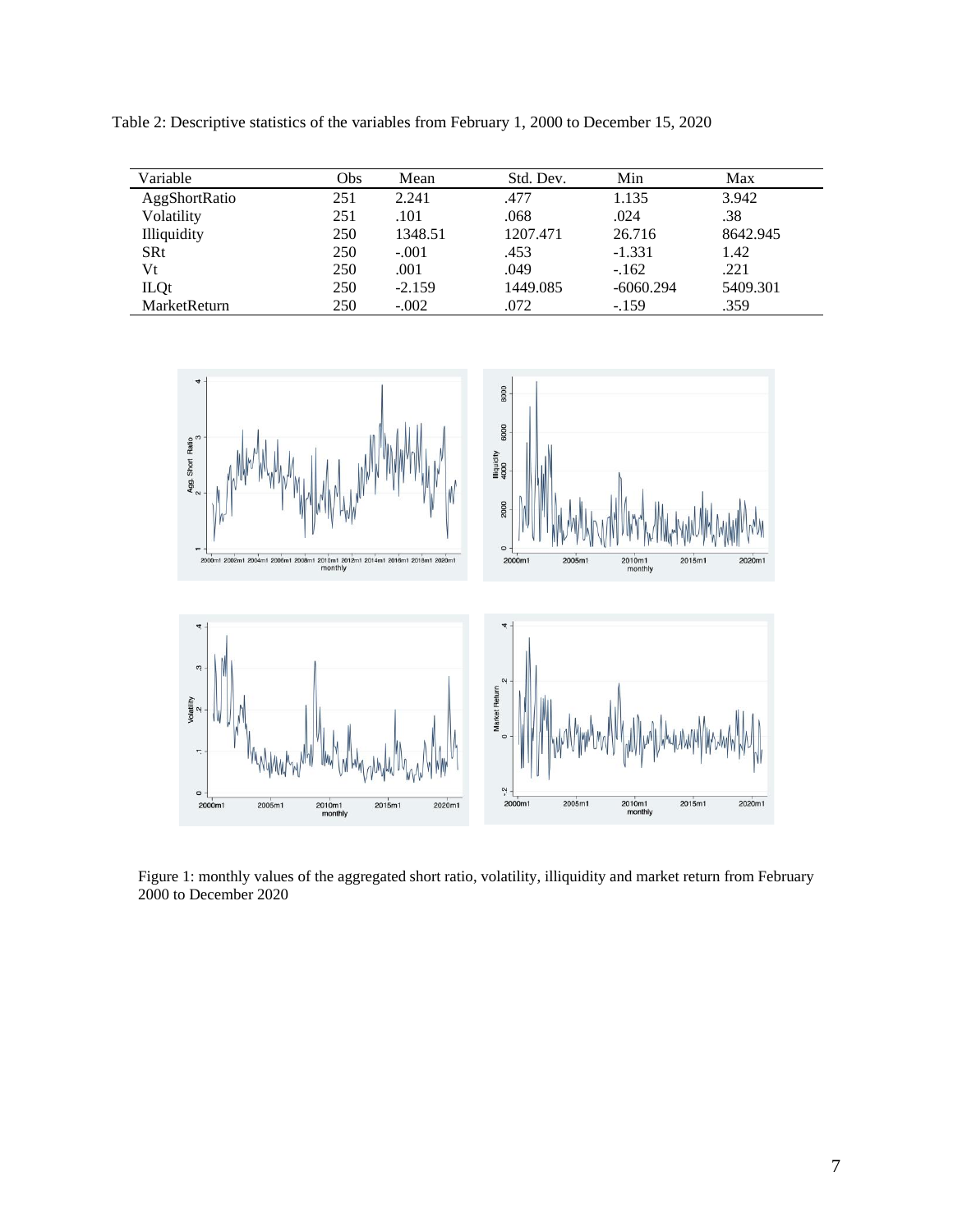Table 2: Descriptive statistics of the variables from February 1, 2000 to December 15, 2020

| Variable           | Obs | Mean     | Std. Dev. | Min         | Max      |
|--------------------|-----|----------|-----------|-------------|----------|
| AggShortRatio      | 251 | 2.241    | .477      | 1.135       | 3.942    |
| Volatility         | 251 | .101     | .068      | .024        | .38      |
| <b>Illiquidity</b> | 250 | 1348.51  | 1207.471  | 26.716      | 8642.945 |
| <b>SRt</b>         | 250 | $-.001$  | .453      | $-1.331$    | 1.42     |
| Vt                 | 250 | .001     | .049      | $-162$      | .221     |
| <b>ILQt</b>        | 250 | $-2.159$ | 1449.085  | $-6060.294$ | 5409.301 |
| MarketReturn       | 250 | $-.002$  | .072      | $-159$      | .359     |



Figure 1: monthly values of the aggregated short ratio, volatility, illiquidity and market return from February 2000 to December 2020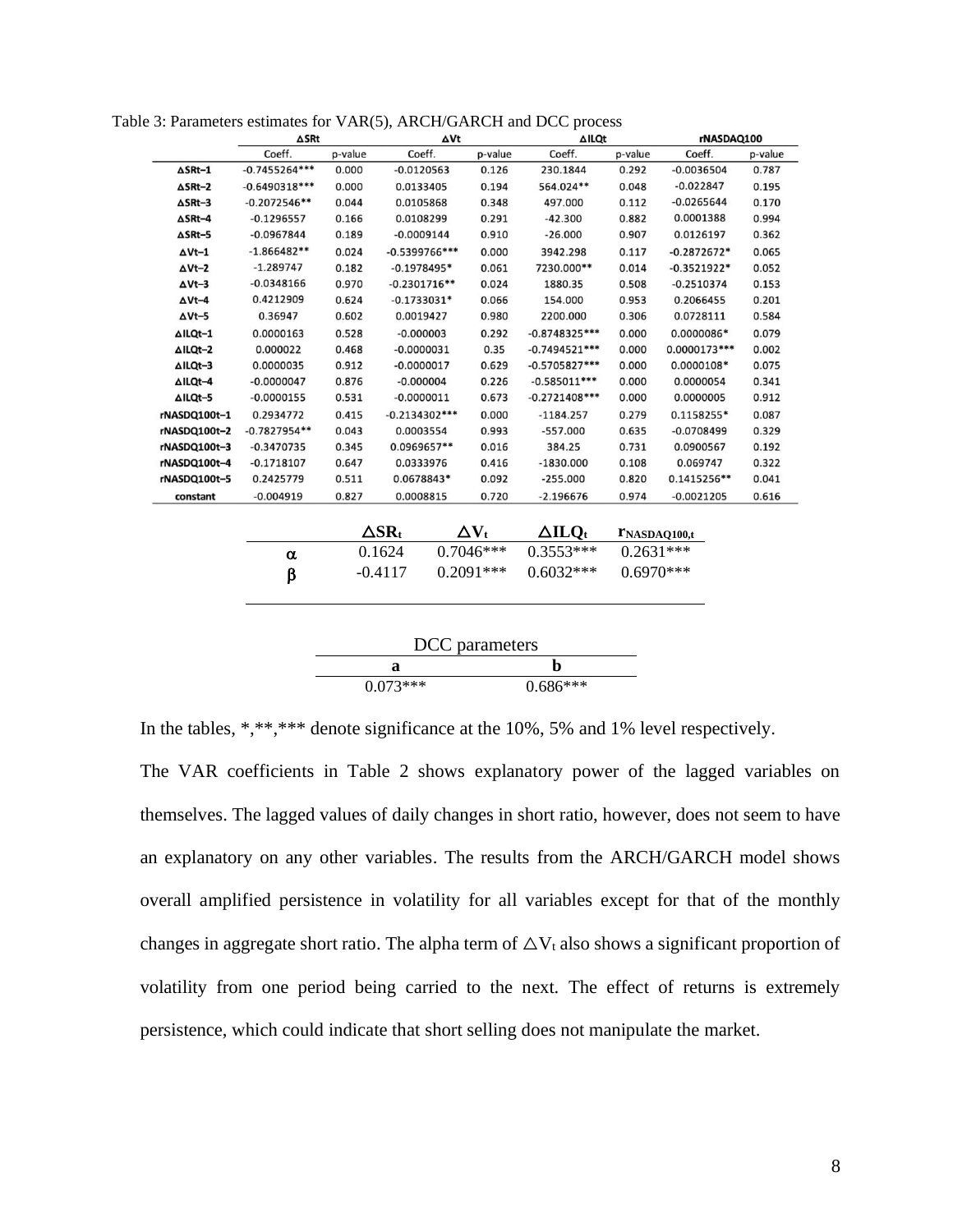| Coeff.<br>p-value<br>$-0.7455264***$<br>0.000<br>$-0.6490318***$<br>0.000<br>0.044<br>$-0.2072546**$<br>$-0.1296557$<br>0.166<br>0.189<br>$-0.0967844$<br>$-1.866482**$<br>0.024<br>$-1.289747$<br>0.182<br>$-0.0348166$<br>0.970<br>0.4212909<br>0.624<br>0.602<br>0.36947<br>0.528<br>0.0000163<br>0.468<br>0.000022 | Coeff.<br>$-0.0120563$<br>0.0133405<br>0.0105868<br>0.0108299<br>$-0.0009144$<br>$-0.5399766$ ***<br>$-0.1978495*$<br>$-0.2301716**$<br>$-0.1733031*$<br>0.0019427<br>$-0.000003$ |                                               | p-value<br>0.126<br>0.194<br>0.348<br>0.291<br>0.910<br>0.000<br>0.061<br>0.024<br>0.066            | Coeff.<br>230.1844<br>564.024**<br>497.000<br>$-42.300$<br>$-26.000$<br>3942.298<br>7230.000**<br>1880.35<br>154.000 | p-value<br>0.292<br>0.048<br>0.112<br>0.882<br>0.907<br>0.117<br>0.014<br>0.508<br>0.953 | Coeff.<br>$-0.0036504$<br>$-0.022847$<br>$-0.0265644$<br>0.0001388<br>0.0126197<br>$-0.2872672*$<br>$-0.3521922*$<br>$-0.2510374$ | p-value<br>0.787<br>0.195<br>0.170<br>0.994<br>0.362<br>0.065<br>0.052<br>0.153 |
|------------------------------------------------------------------------------------------------------------------------------------------------------------------------------------------------------------------------------------------------------------------------------------------------------------------------|-----------------------------------------------------------------------------------------------------------------------------------------------------------------------------------|-----------------------------------------------|-----------------------------------------------------------------------------------------------------|----------------------------------------------------------------------------------------------------------------------|------------------------------------------------------------------------------------------|-----------------------------------------------------------------------------------------------------------------------------------|---------------------------------------------------------------------------------|
|                                                                                                                                                                                                                                                                                                                        |                                                                                                                                                                                   |                                               |                                                                                                     |                                                                                                                      |                                                                                          |                                                                                                                                   |                                                                                 |
|                                                                                                                                                                                                                                                                                                                        |                                                                                                                                                                                   |                                               |                                                                                                     |                                                                                                                      |                                                                                          |                                                                                                                                   |                                                                                 |
|                                                                                                                                                                                                                                                                                                                        |                                                                                                                                                                                   |                                               |                                                                                                     |                                                                                                                      |                                                                                          |                                                                                                                                   |                                                                                 |
|                                                                                                                                                                                                                                                                                                                        |                                                                                                                                                                                   |                                               |                                                                                                     |                                                                                                                      |                                                                                          |                                                                                                                                   |                                                                                 |
|                                                                                                                                                                                                                                                                                                                        |                                                                                                                                                                                   |                                               |                                                                                                     |                                                                                                                      |                                                                                          |                                                                                                                                   |                                                                                 |
|                                                                                                                                                                                                                                                                                                                        |                                                                                                                                                                                   |                                               |                                                                                                     |                                                                                                                      |                                                                                          |                                                                                                                                   |                                                                                 |
|                                                                                                                                                                                                                                                                                                                        |                                                                                                                                                                                   |                                               |                                                                                                     |                                                                                                                      |                                                                                          |                                                                                                                                   |                                                                                 |
|                                                                                                                                                                                                                                                                                                                        |                                                                                                                                                                                   |                                               |                                                                                                     |                                                                                                                      |                                                                                          |                                                                                                                                   |                                                                                 |
|                                                                                                                                                                                                                                                                                                                        |                                                                                                                                                                                   |                                               |                                                                                                     |                                                                                                                      |                                                                                          |                                                                                                                                   |                                                                                 |
|                                                                                                                                                                                                                                                                                                                        |                                                                                                                                                                                   |                                               |                                                                                                     |                                                                                                                      |                                                                                          | 0.2066455                                                                                                                         | 0.201                                                                           |
|                                                                                                                                                                                                                                                                                                                        |                                                                                                                                                                                   |                                               | 0.980                                                                                               | 2200.000                                                                                                             | 0.306                                                                                    | 0.0728111                                                                                                                         | 0.584                                                                           |
|                                                                                                                                                                                                                                                                                                                        |                                                                                                                                                                                   |                                               | 0.292                                                                                               | $-0.8748325***$                                                                                                      | 0.000                                                                                    | 0.0000086*                                                                                                                        | 0.079                                                                           |
|                                                                                                                                                                                                                                                                                                                        | $-0.0000031$                                                                                                                                                                      |                                               | 0.35                                                                                                | $-0.7494521***$                                                                                                      | 0.000                                                                                    | 0.0000173***                                                                                                                      | 0.002                                                                           |
| 0.912<br>0.0000035                                                                                                                                                                                                                                                                                                     | $-0.0000017$                                                                                                                                                                      |                                               | 0.629                                                                                               | $-0.5705827***$                                                                                                      | 0.000                                                                                    | $0.0000108*$                                                                                                                      | 0.075                                                                           |
| 0.876<br>$-0.0000047$                                                                                                                                                                                                                                                                                                  | $-0.000004$                                                                                                                                                                       |                                               | 0.226                                                                                               | $-0.585011***$                                                                                                       | 0.000                                                                                    | 0.0000054                                                                                                                         | 0.341                                                                           |
| 0.531                                                                                                                                                                                                                                                                                                                  |                                                                                                                                                                                   |                                               | 0.673                                                                                               | $-0.2721408***$                                                                                                      | 0.000                                                                                    | 0.0000005                                                                                                                         | 0.912                                                                           |
| 0.415                                                                                                                                                                                                                                                                                                                  |                                                                                                                                                                                   |                                               | 0.000                                                                                               | $-1184.257$                                                                                                          | 0.279                                                                                    | 0.1158255*                                                                                                                        | 0.087                                                                           |
| 0.043                                                                                                                                                                                                                                                                                                                  |                                                                                                                                                                                   |                                               | 0.993                                                                                               | $-557.000$                                                                                                           | 0.635                                                                                    | $-0.0708499$                                                                                                                      | 0.329                                                                           |
| 0.345                                                                                                                                                                                                                                                                                                                  |                                                                                                                                                                                   |                                               | 0.016                                                                                               | 384.25                                                                                                               | 0.731                                                                                    | 0.0900567                                                                                                                         | 0.192                                                                           |
| 0.647                                                                                                                                                                                                                                                                                                                  |                                                                                                                                                                                   |                                               | 0.416                                                                                               | $-1830.000$                                                                                                          | 0.108                                                                                    | 0.069747                                                                                                                          | 0.322                                                                           |
| 0.511                                                                                                                                                                                                                                                                                                                  |                                                                                                                                                                                   |                                               | 0.092                                                                                               | $-255.000$                                                                                                           | 0.820                                                                                    | 0.1415256**                                                                                                                       | 0.041                                                                           |
| 0.827                                                                                                                                                                                                                                                                                                                  |                                                                                                                                                                                   |                                               | 0.720                                                                                               | $-2.196676$                                                                                                          | 0.974                                                                                    | $-0.0021205$                                                                                                                      | 0.616                                                                           |
|                                                                                                                                                                                                                                                                                                                        |                                                                                                                                                                                   |                                               |                                                                                                     | $\Delta \text{ILO}_\text{t}$                                                                                         |                                                                                          |                                                                                                                                   |                                                                                 |
| α                                                                                                                                                                                                                                                                                                                      |                                                                                                                                                                                   |                                               |                                                                                                     |                                                                                                                      |                                                                                          |                                                                                                                                   |                                                                                 |
| β                                                                                                                                                                                                                                                                                                                      |                                                                                                                                                                                   |                                               |                                                                                                     | $0.6032***$                                                                                                          |                                                                                          |                                                                                                                                   |                                                                                 |
|                                                                                                                                                                                                                                                                                                                        | $-0.0000155$<br>0.2934772<br>$-0.7827954**$<br>$-0.3470735$<br>$-0.1718107$<br>0.2425779<br>$-0.004919$                                                                           | $\Delta$ SR <sub>t</sub><br>0.1624<br>-0.4117 | $-0.0000011$<br>$-0.2134302***$<br>0.0003554<br>0.0969657**<br>0.0333976<br>0.0678843*<br>0.0008815 | $\Delta V_{t}$<br>$0.7046***$<br>$0.2091***$                                                                         | $0.3553***$                                                                              |                                                                                                                                   | $r_{\text{NASDAQ100,t}}$<br>$0.2631***$<br>$0.6970***$                          |

Table 3: Parameters estimates for VAR(5), ARCH/GARCH and DCC process

|  | In the tables, *,**,*** denote significance at the $10\%$ , 5% and 1% level respectively. |  |  |  |
|--|-------------------------------------------------------------------------------------------|--|--|--|
|  |                                                                                           |  |  |  |

The VAR coefficients in Table 2 shows explanatory power of the lagged variables on themselves. The lagged values of daily changes in short ratio, however, does not seem to have an explanatory on any other variables. The results from the ARCH/GARCH model shows overall amplified persistence in volatility for all variables except for that of the monthly changes in aggregate short ratio. The alpha term of  $\Delta V_t$  also shows a significant proportion of volatility from one period being carried to the next. The effect of returns is extremely persistence, which could indicate that short selling does not manipulate the market.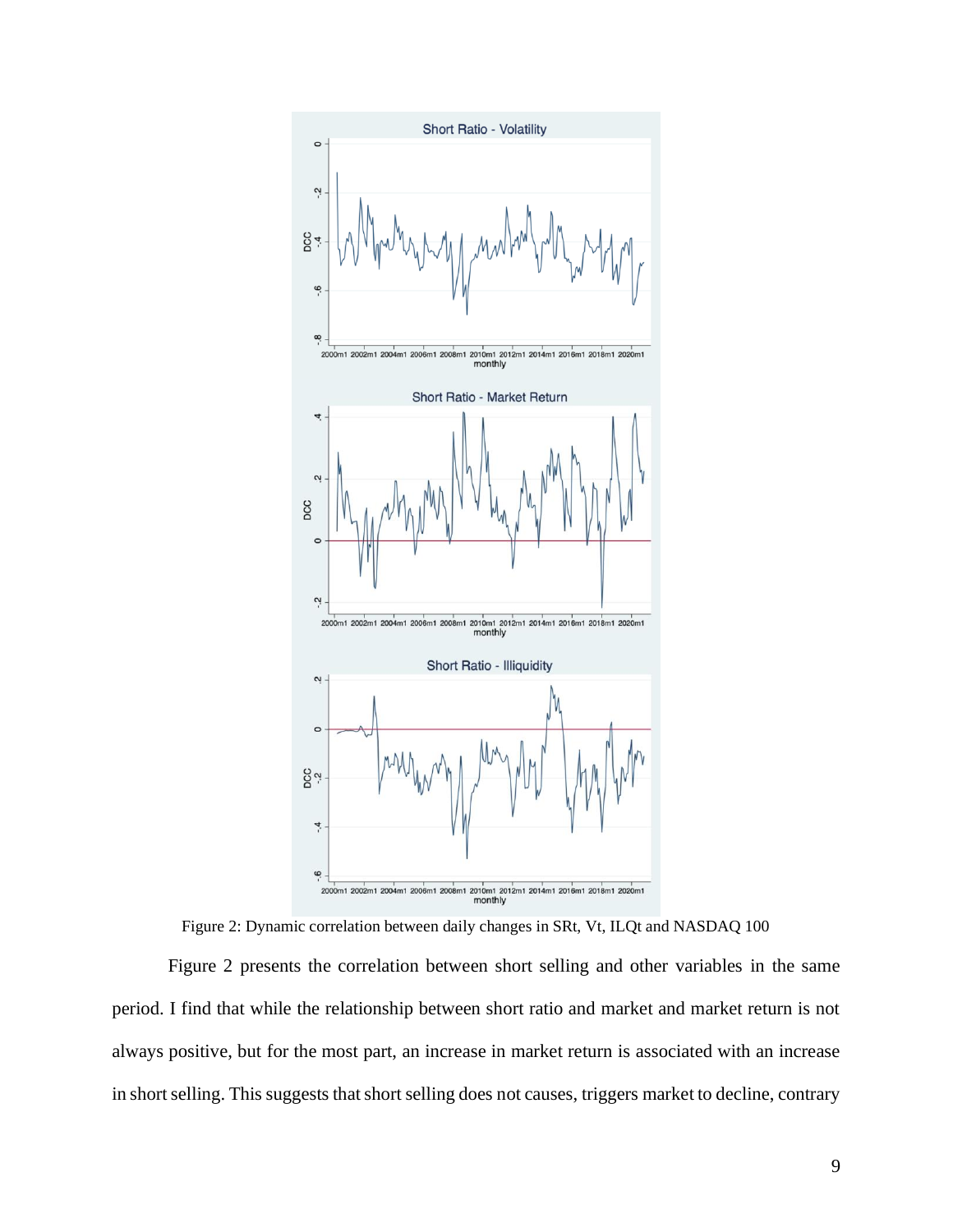

Figure 2: Dynamic correlation between daily changes in SRt, Vt, ILQt and NASDAQ 100

Figure 2 presents the correlation between short selling and other variables in the same period. I find that while the relationship between short ratio and market and market return is not always positive, but for the most part, an increase in market return is associated with an increase in short selling. This suggests that short selling does not causes, triggers market to decline, contrary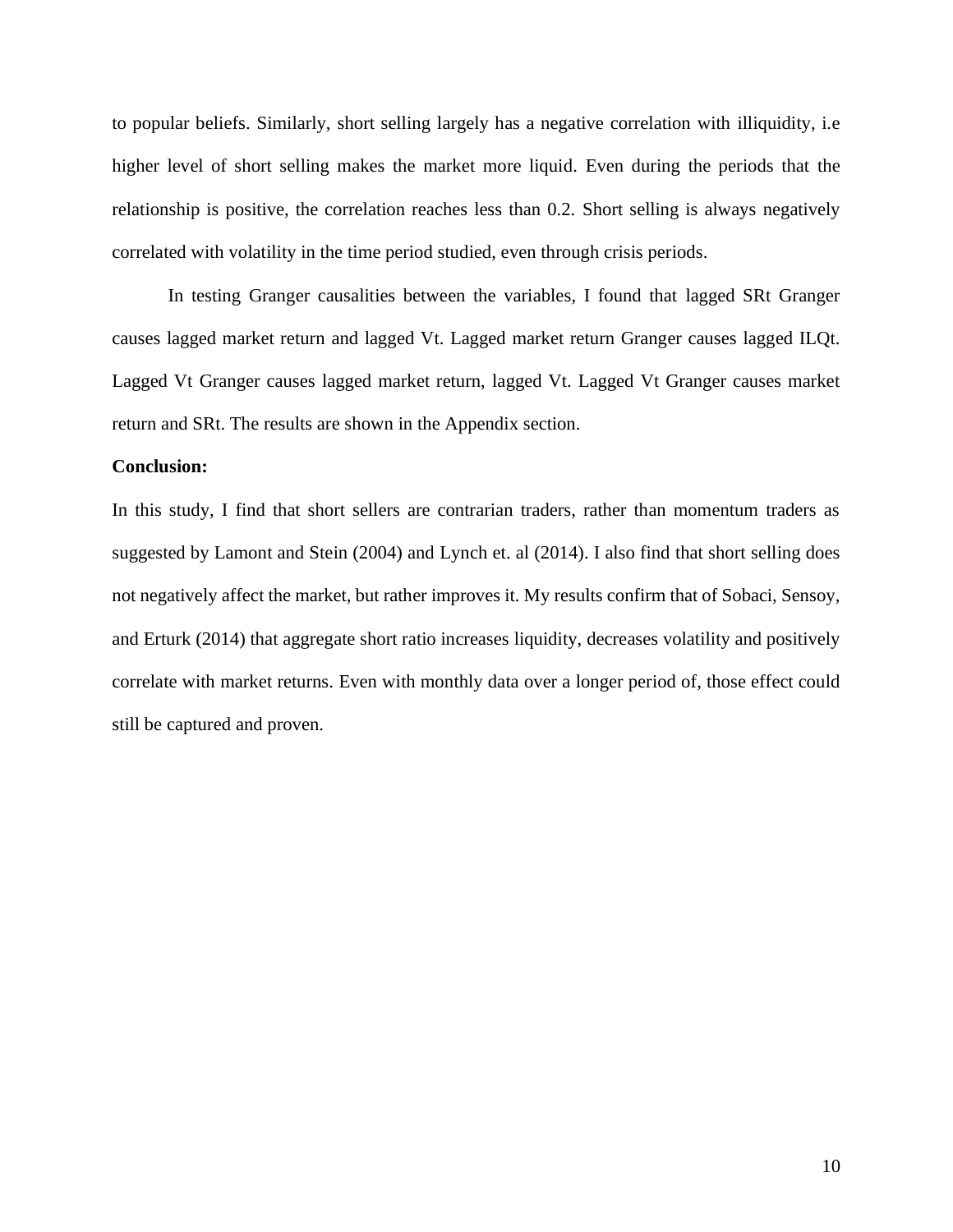to popular beliefs. Similarly, short selling largely has a negative correlation with illiquidity, i.e higher level of short selling makes the market more liquid. Even during the periods that the relationship is positive, the correlation reaches less than 0.2. Short selling is always negatively correlated with volatility in the time period studied, even through crisis periods.

In testing Granger causalities between the variables, I found that lagged SRt Granger causes lagged market return and lagged Vt. Lagged market return Granger causes lagged ILQt. Lagged Vt Granger causes lagged market return, lagged Vt. Lagged Vt Granger causes market return and SRt. The results are shown in the Appendix section.

## **Conclusion:**

In this study, I find that short sellers are contrarian traders, rather than momentum traders as suggested by Lamont and Stein (2004) and Lynch et. al (2014). I also find that short selling does not negatively affect the market, but rather improves it. My results confirm that of Sobaci, Sensoy, and Erturk (2014) that aggregate short ratio increases liquidity, decreases volatility and positively correlate with market returns. Even with monthly data over a longer period of, those effect could still be captured and proven.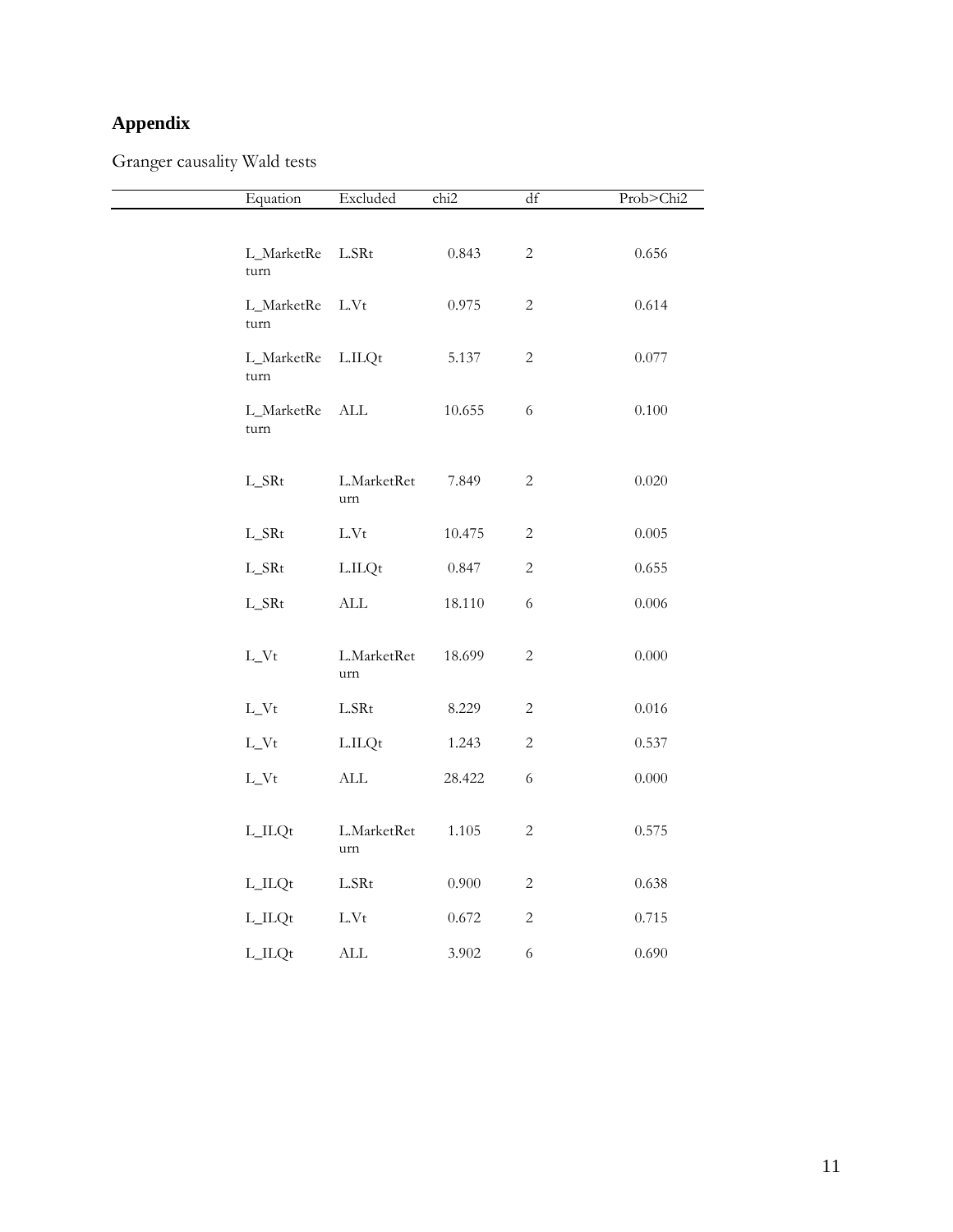# **Appendix**

Granger causality Wald tests

| Equation           | Excluded              | chi <sub>2</sub> | df           | Prob>Chi2 |
|--------------------|-----------------------|------------------|--------------|-----------|
|                    |                       |                  |              |           |
| L_MarketRe<br>turn | $_{\rm LSRt}$         | 0.843            | $\mathbf{2}$ | 0.656     |
| L_MarketRe<br>turn | $\operatorname{L.Vt}$ | 0.975            | $\sqrt{2}$   | 0.614     |
| L_MarketRe<br>turn | L.ILQt                | 5.137            | $\sqrt{2}$   | 0.077     |
| L_MarketRe<br>turn | $\mbox{ALL}$          | 10.655           | $\sqrt{6}$   | $0.100\,$ |
| $L\_SRt$           | L.MarketRet<br>urn    | 7.849            | $\mathbf{2}$ | 0.020     |
| $L\_SRt$           | $\operatorname{L.Vt}$ | 10.475           | $\mathbf{2}$ | $0.005\,$ |
| L_SRt              | L.ILQt                | 0.847            | $\sqrt{2}$   | 0.655     |
| L_SRt              | $\mbox{ALL}$          | 18.110           | $\sqrt{6}$   | $0.006\,$ |
| $L_Vt$             | L.MarketRet<br>urn    | 18.699           | $\sqrt{2}$   | $0.000\,$ |
| $L_Vt$             | $_{\rm LSRt}$         | 8.229            | $\sqrt{2}$   | $0.016\,$ |
| $L_Vt$             | L.ILQt                | 1.243            | $\mathbf{2}$ | 0.537     |
| $L_Vt$             | $\mbox{ALL}$          | 28.422           | $\sqrt{6}$   | $0.000\,$ |
| L_ILQt             | L.MarketRet<br>urn    | 1.105            | $\sqrt{2}$   | 0.575     |
| $L$ _ILQt          | L.SRt                 | $0.900\,$        | $\sqrt{2}$   | 0.638     |
| $L$ _ $ILQt$       | $\operatorname{L.Vt}$ | 0.672            | $\sqrt{2}$   | 0.715     |
| L_ILQt             | $\mbox{ALL}$          | 3.902            | $\sqrt{6}$   | 0.690     |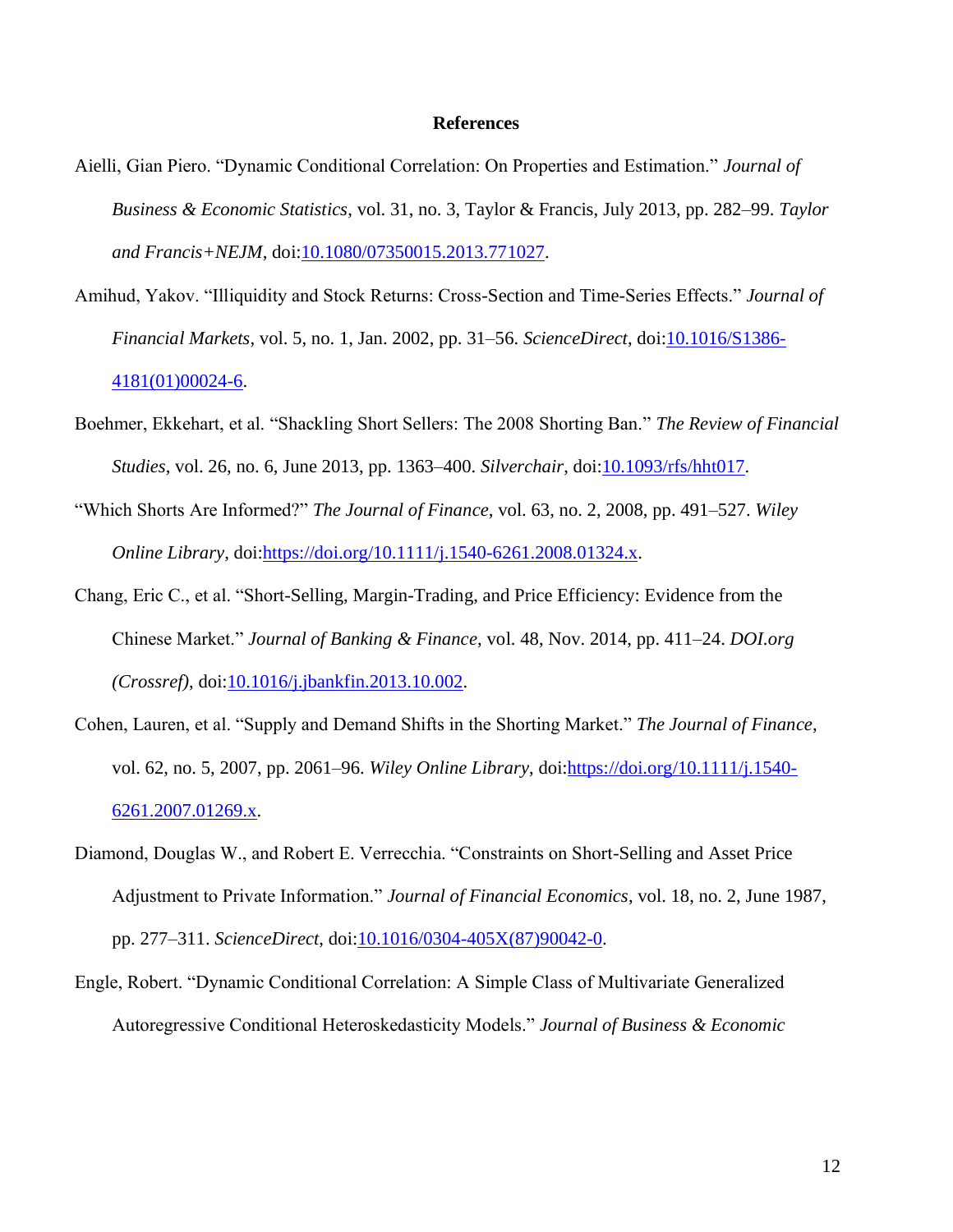#### **References**

- Aielli, Gian Piero. "Dynamic Conditional Correlation: On Properties and Estimation." *Journal of Business & Economic Statistics*, vol. 31, no. 3, Taylor & Francis, July 2013, pp. 282–99. *Taylor and Francis+NEJM*, doi[:10.1080/07350015.2013.771027.](https://doi.org/10.1080/07350015.2013.771027)
- Amihud, Yakov. "Illiquidity and Stock Returns: Cross-Section and Time-Series Effects." *Journal of Financial Markets*, vol. 5, no. 1, Jan. 2002, pp. 31–56. *ScienceDirect*, doi[:10.1016/S1386-](https://doi.org/10.1016/S1386-4181(01)00024-6) [4181\(01\)00024-6.](https://doi.org/10.1016/S1386-4181(01)00024-6)
- Boehmer, Ekkehart, et al. "Shackling Short Sellers: The 2008 Shorting Ban." *The Review of Financial Studies*, vol. 26, no. 6, June 2013, pp. 1363–400. *Silverchair*, doi[:10.1093/rfs/hht017.](https://doi.org/10.1093/rfs/hht017)
- "Which Shorts Are Informed?" *The Journal of Finance*, vol. 63, no. 2, 2008, pp. 491–527. *Wiley Online Library*, doi[:https://doi.org/10.1111/j.1540-6261.2008.01324.x.](https://doi.org/10.1111/j.1540-6261.2008.01324.x)
- Chang, Eric C., et al. "Short-Selling, Margin-Trading, and Price Efficiency: Evidence from the Chinese Market." *Journal of Banking & Finance*, vol. 48, Nov. 2014, pp. 411–24. *DOI.org (Crossref)*, doi[:10.1016/j.jbankfin.2013.10.002.](https://doi.org/10.1016/j.jbankfin.2013.10.002)
- Cohen, Lauren, et al. "Supply and Demand Shifts in the Shorting Market." *The Journal of Finance*, vol. 62, no. 5, 2007, pp. 2061–96. *Wiley Online Library*, doi[:https://doi.org/10.1111/j.1540-](https://doi.org/10.1111/j.1540-6261.2007.01269.x) [6261.2007.01269.x.](https://doi.org/10.1111/j.1540-6261.2007.01269.x)
- Diamond, Douglas W., and Robert E. Verrecchia. "Constraints on Short-Selling and Asset Price Adjustment to Private Information." *Journal of Financial Economics*, vol. 18, no. 2, June 1987, pp. 277–311. *ScienceDirect*, doi[:10.1016/0304-405X\(87\)90042-0.](https://doi.org/10.1016/0304-405X(87)90042-0)
- Engle, Robert. "Dynamic Conditional Correlation: A Simple Class of Multivariate Generalized Autoregressive Conditional Heteroskedasticity Models." *Journal of Business & Economic*